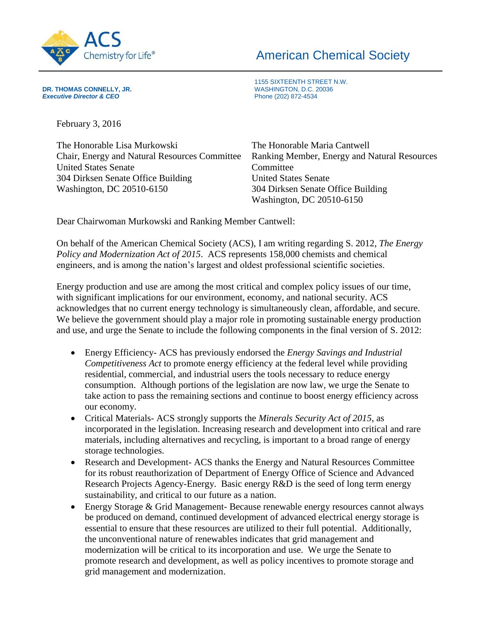

## American Chemical Society

**DR. THOMAS CONNELLY, JR.** (20036) **Executive Director & CEO** (20036) **Executive Director & CEO** 

1155 SIXTEENTH STREET N.W.

February 3, 2016

**Executive Director & CEO** 

| The Honorable Lisa Murkowski                         | The Honorable Maria Cantwell                 |
|------------------------------------------------------|----------------------------------------------|
| <b>Chair, Energy and Natural Resources Committee</b> | Ranking Member, Energy and Natural Resources |
| <b>United States Senate</b>                          | Committee                                    |
| 304 Dirksen Senate Office Building                   | <b>United States Senate</b>                  |
| Washington, DC 20510-6150                            | 304 Dirksen Senate Office Building           |
|                                                      | Washington, DC 20510-6150                    |

Dear Chairwoman Murkowski and Ranking Member Cantwell:

On behalf of the American Chemical Society (ACS), I am writing regarding S. 2012, *The Energy Policy and Modernization Act of 2015*. ACS represents 158,000 chemists and chemical engineers, and is among the nation's largest and oldest professional scientific societies.

Energy production and use are among the most critical and complex policy issues of our time, with significant implications for our environment, economy, and national security. ACS acknowledges that no current energy technology is simultaneously clean, affordable, and secure. We believe the government should play a major role in promoting sustainable energy production and use, and urge the Senate to include the following components in the final version of S. 2012:

- Energy Efficiency- ACS has previously endorsed the *Energy Savings and Industrial Competitiveness Act* to promote energy efficiency at the federal level while providing residential, commercial, and industrial users the tools necessary to reduce energy consumption. Although portions of the legislation are now law, we urge the Senate to take action to pass the remaining sections and continue to boost energy efficiency across our economy.
- Critical Materials- ACS strongly supports the *Minerals Security Act of 2015*, as incorporated in the legislation. Increasing research and development into critical and rare materials, including alternatives and recycling, is important to a broad range of energy storage technologies.
- Research and Development- ACS thanks the Energy and Natural Resources Committee for its robust reauthorization of Department of Energy Office of Science and Advanced Research Projects Agency-Energy. Basic energy R&D is the seed of long term energy sustainability, and critical to our future as a nation.
- Energy Storage & Grid Management- Because renewable energy resources cannot always be produced on demand, continued development of advanced electrical energy storage is essential to ensure that these resources are utilized to their full potential. Additionally, the unconventional nature of renewables indicates that grid management and modernization will be critical to its incorporation and use. We urge the Senate to promote research and development, as well as policy incentives to promote storage and grid management and modernization.